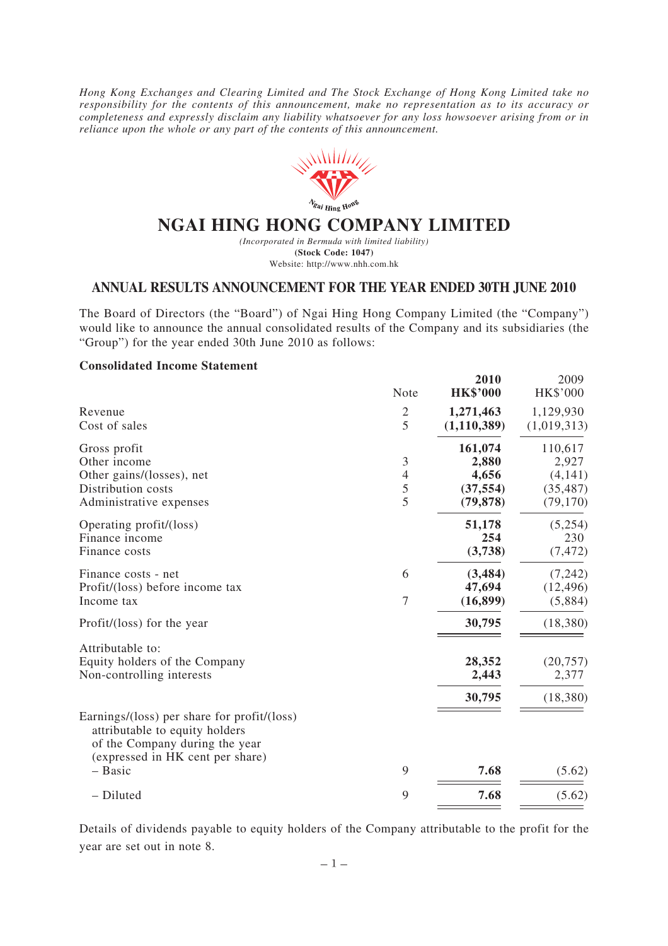*Hong Kong Exchanges and Clearing Limited and The Stock Exchange of Hong Kong Limited take no responsibility for the contents of this announcement, make no representation as to its accuracy or completeness and expressly disclaim any liability whatsoever for any loss howsoever arising from or in reliance upon the whole or any part of the contents of this announcement.*



# **NGAI HING HONG COMPANY LIMITED**

*(Incorporated in Bermuda with limited liability)* **(Stock Code: 1047)** Website: http://www.nhh.com.hk

## **ANNUAL RESULTS ANNOUNCEMENT FOR THE YEAR ENDED 30TH JUNE 2010**

The Board of Directors (the "Board") of Ngai Hing Hong Company Limited (the "Company") would like to announce the annual consolidated results of the Company and its subsidiaries (the "Group") for the year ended 30th June 2010 as follows:

### **Consolidated Income Statement**

|                                                                                                                                                                  | <b>Note</b>                                       | 2010<br><b>HK\$'000</b>                             | 2009<br>HK\$'000                                      |
|------------------------------------------------------------------------------------------------------------------------------------------------------------------|---------------------------------------------------|-----------------------------------------------------|-------------------------------------------------------|
| Revenue<br>Cost of sales                                                                                                                                         | $\overline{c}$<br>$\overline{5}$                  | 1,271,463<br>(1, 110, 389)                          | 1,129,930<br>(1,019,313)                              |
| Gross profit<br>Other income<br>Other gains/(losses), net<br>Distribution costs<br>Administrative expenses                                                       | $\mathfrak{Z}$<br>$\overline{4}$<br>$\frac{5}{5}$ | 161,074<br>2,880<br>4,656<br>(37, 554)<br>(79, 878) | 110,617<br>2,927<br>(4,141)<br>(35, 487)<br>(79, 170) |
| Operating profit/(loss)<br>Finance income<br>Finance costs                                                                                                       |                                                   | 51,178<br>254<br>(3,738)                            | (5,254)<br>230<br>(7, 472)                            |
| Finance costs - net<br>Profit/(loss) before income tax<br>Income tax                                                                                             | 6<br>$\overline{7}$                               | (3,484)<br>47,694<br>(16, 899)                      | (7, 242)<br>(12, 496)<br>(5,884)                      |
| Profit/(loss) for the year                                                                                                                                       |                                                   | 30,795                                              | (18, 380)                                             |
| Attributable to:<br>Equity holders of the Company<br>Non-controlling interests                                                                                   |                                                   | 28,352<br>2,443<br>30,795                           | (20, 757)<br>2,377<br>(18, 380)                       |
| Earnings/(loss) per share for profit/(loss)<br>attributable to equity holders<br>of the Company during the year<br>(expressed in HK cent per share)<br>$-$ Basic | 9                                                 | 7.68                                                | (5.62)                                                |
| - Diluted                                                                                                                                                        | 9                                                 | 7.68                                                | (5.62)                                                |

Details of dividends payable to equity holders of the Company attributable to the profit for the year are set out in note 8.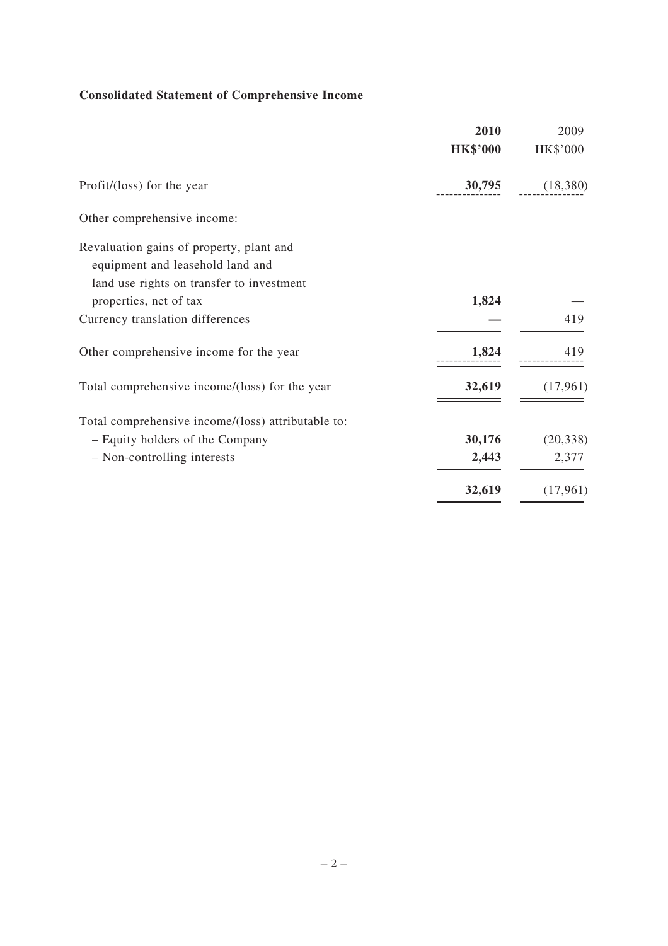# **Consolidated Statement of Comprehensive Income**

|                                                                              | 2010<br><b>HK\$'000</b> | 2009<br>HK\$'000 |
|------------------------------------------------------------------------------|-------------------------|------------------|
| Profit/(loss) for the year                                                   | 30,795                  | (18,380)         |
| Other comprehensive income:                                                  |                         |                  |
| Revaluation gains of property, plant and<br>equipment and leasehold land and |                         |                  |
| land use rights on transfer to investment<br>properties, net of tax          | 1,824                   |                  |
| Currency translation differences                                             |                         | 419              |
| Other comprehensive income for the year                                      | 1,824                   | 419              |
| Total comprehensive income/(loss) for the year                               | 32,619                  | (17,961)         |
| Total comprehensive income/(loss) attributable to:                           |                         |                  |
| - Equity holders of the Company                                              | 30,176                  | (20, 338)        |
| - Non-controlling interests                                                  | 2,443                   | 2,377            |
|                                                                              | 32,619                  | (17,961)         |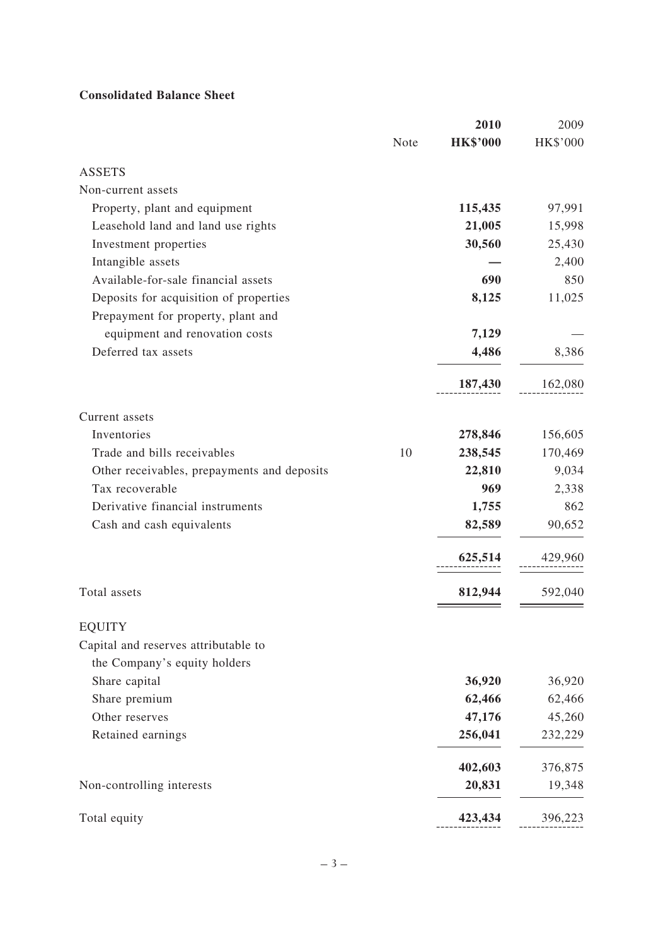# **Consolidated Balance Sheet**

|                                             |      | 2010            | 2009     |
|---------------------------------------------|------|-----------------|----------|
|                                             | Note | <b>HK\$'000</b> | HK\$'000 |
| <b>ASSETS</b>                               |      |                 |          |
| Non-current assets                          |      |                 |          |
| Property, plant and equipment               |      | 115,435         | 97,991   |
| Leasehold land and land use rights          |      | 21,005          | 15,998   |
| Investment properties                       |      | 30,560          | 25,430   |
| Intangible assets                           |      |                 | 2,400    |
| Available-for-sale financial assets         |      | 690             | 850      |
| Deposits for acquisition of properties      |      | 8,125           | 11,025   |
| Prepayment for property, plant and          |      |                 |          |
| equipment and renovation costs              |      | 7,129           |          |
| Deferred tax assets                         |      | 4,486           | 8,386    |
|                                             |      | 187,430         | 162,080  |
| Current assets                              |      |                 |          |
| Inventories                                 |      | 278,846         | 156,605  |
| Trade and bills receivables                 | 10   | 238,545         | 170,469  |
| Other receivables, prepayments and deposits |      | 22,810          | 9,034    |
| Tax recoverable                             |      | 969             | 2,338    |
| Derivative financial instruments            |      | 1,755           | 862      |
| Cash and cash equivalents                   |      | 82,589          | 90,652   |
|                                             |      | 625,514         | 429,960  |
| Total assets                                |      | 812,944         | 592,040  |
| <b>EQUITY</b>                               |      |                 |          |
| Capital and reserves attributable to        |      |                 |          |
| the Company's equity holders                |      |                 |          |
| Share capital                               |      | 36,920          | 36,920   |
| Share premium                               |      | 62,466          | 62,466   |
| Other reserves                              |      | 47,176          | 45,260   |
| Retained earnings                           |      | 256,041         | 232,229  |
|                                             |      | 402,603         | 376,875  |
| Non-controlling interests                   |      | 20,831          | 19,348   |
| Total equity                                |      | 423,434         | 396,223  |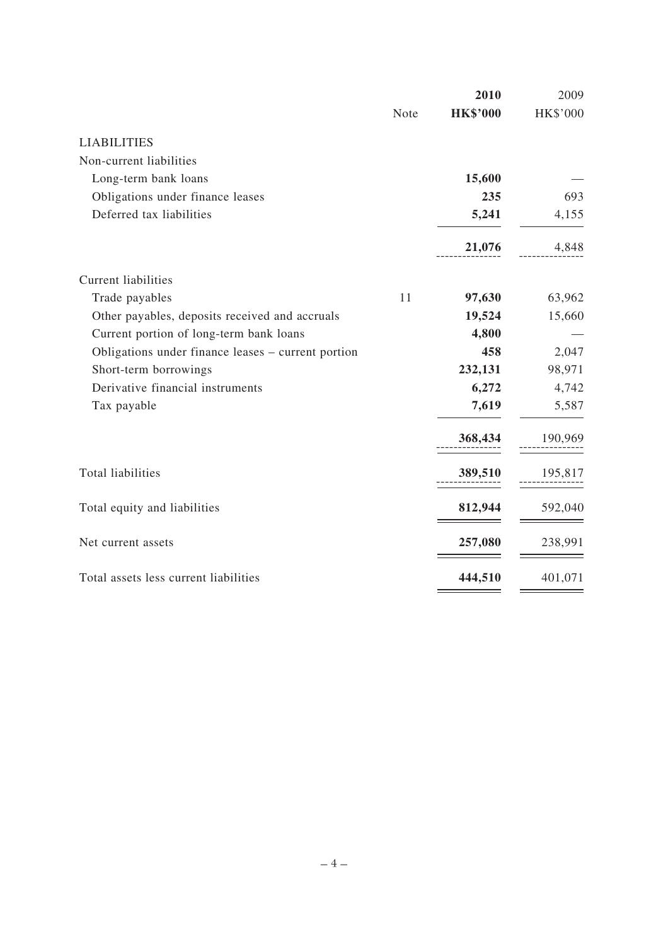|                                                    | Note |                 |          |
|----------------------------------------------------|------|-----------------|----------|
|                                                    |      | <b>HK\$'000</b> | HK\$'000 |
| <b>LIABILITIES</b>                                 |      |                 |          |
| Non-current liabilities                            |      |                 |          |
| Long-term bank loans                               |      | 15,600          |          |
| Obligations under finance leases                   |      | 235             | 693      |
| Deferred tax liabilities                           |      | 5,241           | 4,155    |
|                                                    |      | 21,076          | 4,848    |
| <b>Current liabilities</b>                         |      |                 |          |
| Trade payables                                     | 11   | 97,630          | 63,962   |
| Other payables, deposits received and accruals     |      | 19,524          | 15,660   |
| Current portion of long-term bank loans            |      | 4,800           |          |
| Obligations under finance leases - current portion |      | 458             | 2,047    |
| Short-term borrowings                              |      | 232,131         | 98,971   |
| Derivative financial instruments                   |      | 6,272           | 4,742    |
| Tax payable                                        |      | 7,619           | 5,587    |
|                                                    |      | 368,434         | 190,969  |
| Total liabilities                                  |      | 389,510         | 195,817  |
| Total equity and liabilities                       |      | 812,944         | 592,040  |
| Net current assets                                 |      | 257,080         | 238,991  |
| Total assets less current liabilities              |      | 444,510         | 401,071  |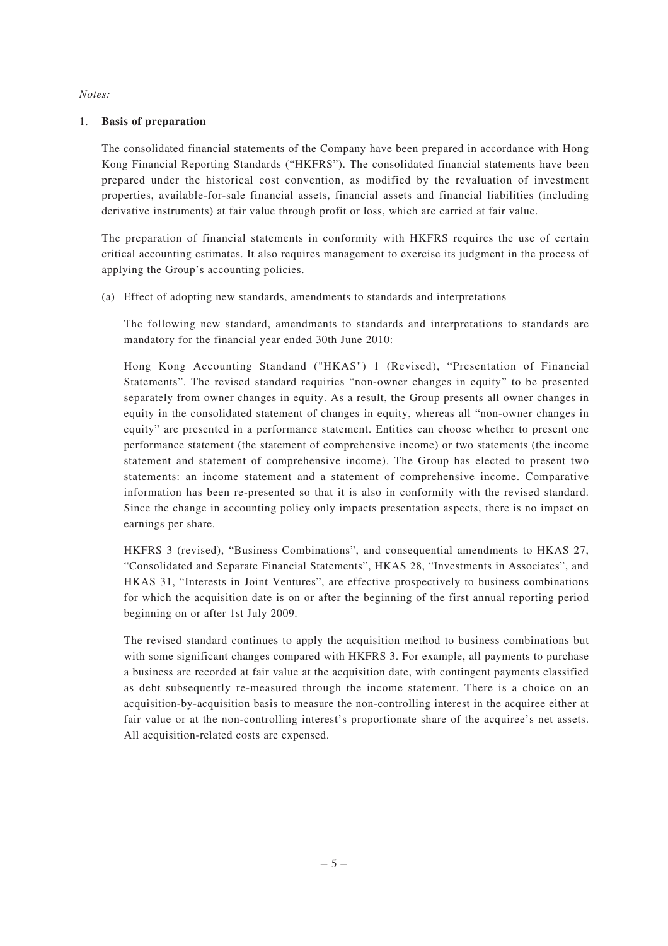#### *Notes:*

#### 1. **Basis of preparation**

The consolidated financial statements of the Company have been prepared in accordance with Hong Kong Financial Reporting Standards ("HKFRS"). The consolidated financial statements have been prepared under the historical cost convention, as modified by the revaluation of investment properties, available-for-sale financial assets, financial assets and financial liabilities (including derivative instruments) at fair value through profit or loss, which are carried at fair value.

The preparation of financial statements in conformity with HKFRS requires the use of certain critical accounting estimates. It also requires management to exercise its judgment in the process of applying the Group's accounting policies.

(a) Effect of adopting new standards, amendments to standards and interpretations

The following new standard, amendments to standards and interpretations to standards are mandatory for the financial year ended 30th June 2010:

Hong Kong Accounting Standand ("HKAS") 1 (Revised), "Presentation of Financial Statements". The revised standard requiries "non-owner changes in equity" to be presented separately from owner changes in equity. As a result, the Group presents all owner changes in equity in the consolidated statement of changes in equity, whereas all "non-owner changes in equity" are presented in a performance statement. Entities can choose whether to present one performance statement (the statement of comprehensive income) or two statements (the income statement and statement of comprehensive income). The Group has elected to present two statements: an income statement and a statement of comprehensive income. Comparative information has been re-presented so that it is also in conformity with the revised standard. Since the change in accounting policy only impacts presentation aspects, there is no impact on earnings per share.

HKFRS 3 (revised), "Business Combinations", and consequential amendments to HKAS 27, "Consolidated and Separate Financial Statements", HKAS 28, "Investments in Associates", and HKAS 31, "Interests in Joint Ventures", are effective prospectively to business combinations for which the acquisition date is on or after the beginning of the first annual reporting period beginning on or after 1st July 2009.

The revised standard continues to apply the acquisition method to business combinations but with some significant changes compared with HKFRS 3. For example, all payments to purchase a business are recorded at fair value at the acquisition date, with contingent payments classified as debt subsequently re-measured through the income statement. There is a choice on an acquisition-by-acquisition basis to measure the non-controlling interest in the acquiree either at fair value or at the non-controlling interest's proportionate share of the acquiree's net assets. All acquisition-related costs are expensed.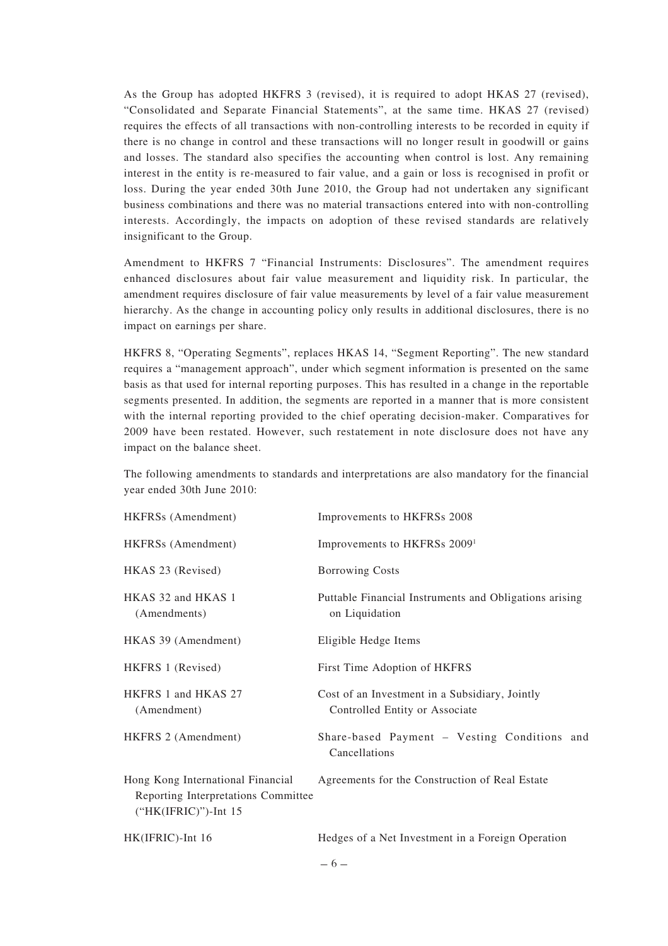As the Group has adopted HKFRS 3 (revised), it is required to adopt HKAS 27 (revised), "Consolidated and Separate Financial Statements", at the same time. HKAS 27 (revised) requires the effects of all transactions with non-controlling interests to be recorded in equity if there is no change in control and these transactions will no longer result in goodwill or gains and losses. The standard also specifies the accounting when control is lost. Any remaining interest in the entity is re-measured to fair value, and a gain or loss is recognised in profit or loss. During the year ended 30th June 2010, the Group had not undertaken any significant business combinations and there was no material transactions entered into with non-controlling interests. Accordingly, the impacts on adoption of these revised standards are relatively insignificant to the Group.

Amendment to HKFRS 7 "Financial Instruments: Disclosures". The amendment requires enhanced disclosures about fair value measurement and liquidity risk. In particular, the amendment requires disclosure of fair value measurements by level of a fair value measurement hierarchy. As the change in accounting policy only results in additional disclosures, there is no impact on earnings per share.

HKFRS 8, "Operating Segments", replaces HKAS 14, "Segment Reporting". The new standard requires a "management approach", under which segment information is presented on the same basis as that used for internal reporting purposes. This has resulted in a change in the reportable segments presented. In addition, the segments are reported in a manner that is more consistent with the internal reporting provided to the chief operating decision-maker. Comparatives for 2009 have been restated. However, such restatement in note disclosure does not have any impact on the balance sheet.

The following amendments to standards and interpretations are also mandatory for the financial year ended 30th June 2010:

| HKFRSs (Amendment)                                                                                  | Improvements to HKFRSs 2008                                                      |
|-----------------------------------------------------------------------------------------------------|----------------------------------------------------------------------------------|
| HKFRSs (Amendment)                                                                                  | Improvements to HKFRSs 2009 <sup>1</sup>                                         |
| HKAS 23 (Revised)                                                                                   | <b>Borrowing Costs</b>                                                           |
| HKAS 32 and HKAS 1<br>(Amendments)                                                                  | Puttable Financial Instruments and Obligations arising<br>on Liquidation         |
| HKAS 39 (Amendment)                                                                                 | Eligible Hedge Items                                                             |
| HKFRS 1 (Revised)                                                                                   | First Time Adoption of HKFRS                                                     |
| HKFRS 1 and HKAS 27<br>(Amendment)                                                                  | Cost of an Investment in a Subsidiary, Jointly<br>Controlled Entity or Associate |
| HKFRS 2 (Amendment)                                                                                 | Share-based Payment - Vesting Conditions and<br>Cancellations                    |
| Hong Kong International Financial<br>Reporting Interpretations Committee<br>$("HK(IFRIC)")$ -Int 15 | Agreements for the Construction of Real Estate                                   |
| HK(IFRIC)-Int 16                                                                                    | Hedges of a Net Investment in a Foreign Operation                                |
|                                                                                                     |                                                                                  |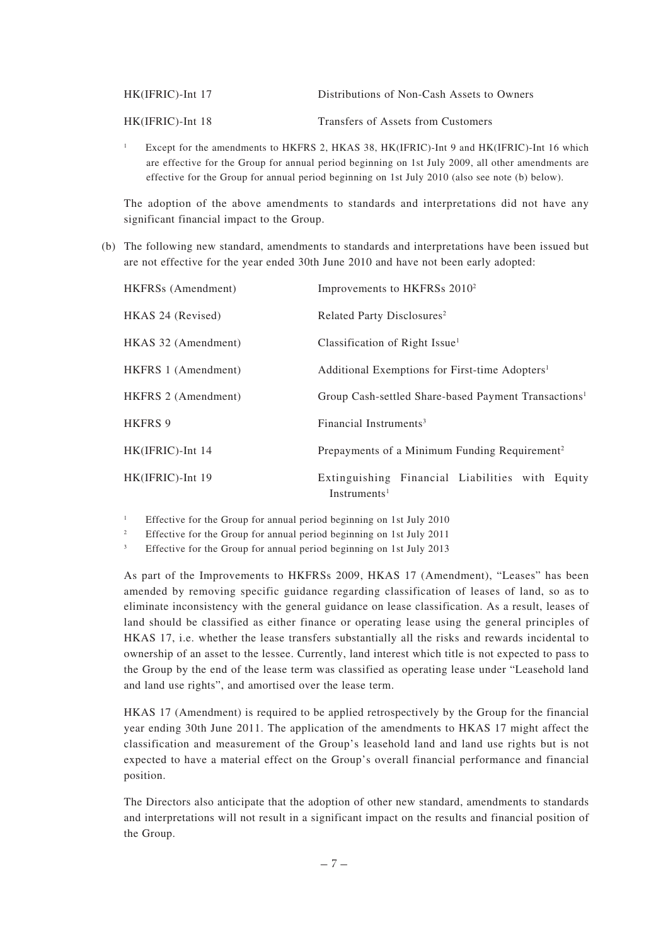| HK(IFRIC)-Int 17 | Distributions of Non-Cash Assets to Owners |
|------------------|--------------------------------------------|
| HK(IFRIC)-Int 18 | Transfers of Assets from Customers         |

<sup>1</sup> Except for the amendments to HKFRS 2, HKAS 38, HK(IFRIC)-Int 9 and HK(IFRIC)-Int 16 which are effective for the Group for annual period beginning on 1st July 2009, all other amendments are effective for the Group for annual period beginning on 1st July 2010 (also see note (b) below).

The adoption of the above amendments to standards and interpretations did not have any significant financial impact to the Group.

(b) The following new standard, amendments to standards and interpretations have been issued but are not effective for the year ended 30th June 2010 and have not been early adopted:

| HKFRSs (Amendment)  | Improvements to HKFRSs 2010 <sup>2</sup>                                    |  |  |  |  |  |
|---------------------|-----------------------------------------------------------------------------|--|--|--|--|--|
| HKAS 24 (Revised)   | Related Party Disclosures <sup>2</sup>                                      |  |  |  |  |  |
| HKAS 32 (Amendment) | Classification of Right Issue <sup>1</sup>                                  |  |  |  |  |  |
| HKFRS 1 (Amendment) | Additional Exemptions for First-time Adopters <sup>1</sup>                  |  |  |  |  |  |
| HKFRS 2 (Amendment) | Group Cash-settled Share-based Payment Transactions <sup>1</sup>            |  |  |  |  |  |
| <b>HKFRS 9</b>      | Financial Instruments <sup>3</sup>                                          |  |  |  |  |  |
| HK(IFRIC)-Int 14    | Prepayments of a Minimum Funding Requirement <sup>2</sup>                   |  |  |  |  |  |
| HK(IFRIC)-Int 19    | Extinguishing Financial Liabilities with Equity<br>Instruments <sup>1</sup> |  |  |  |  |  |

<sup>1</sup> Effective for the Group for annual period beginning on 1st July 2010

<sup>2</sup> Effective for the Group for annual period beginning on 1st July 2011

<sup>3</sup> Effective for the Group for annual period beginning on 1st July 2013

As part of the Improvements to HKFRSs 2009, HKAS 17 (Amendment), "Leases" has been amended by removing specific guidance regarding classification of leases of land, so as to eliminate inconsistency with the general guidance on lease classification. As a result, leases of land should be classified as either finance or operating lease using the general principles of HKAS 17, i.e. whether the lease transfers substantially all the risks and rewards incidental to ownership of an asset to the lessee. Currently, land interest which title is not expected to pass to the Group by the end of the lease term was classified as operating lease under "Leasehold land and land use rights", and amortised over the lease term.

HKAS 17 (Amendment) is required to be applied retrospectively by the Group for the financial year ending 30th June 2011. The application of the amendments to HKAS 17 might affect the classification and measurement of the Group's leasehold land and land use rights but is not expected to have a material effect on the Group's overall financial performance and financial position.

The Directors also anticipate that the adoption of other new standard, amendments to standards and interpretations will not result in a significant impact on the results and financial position of the Group.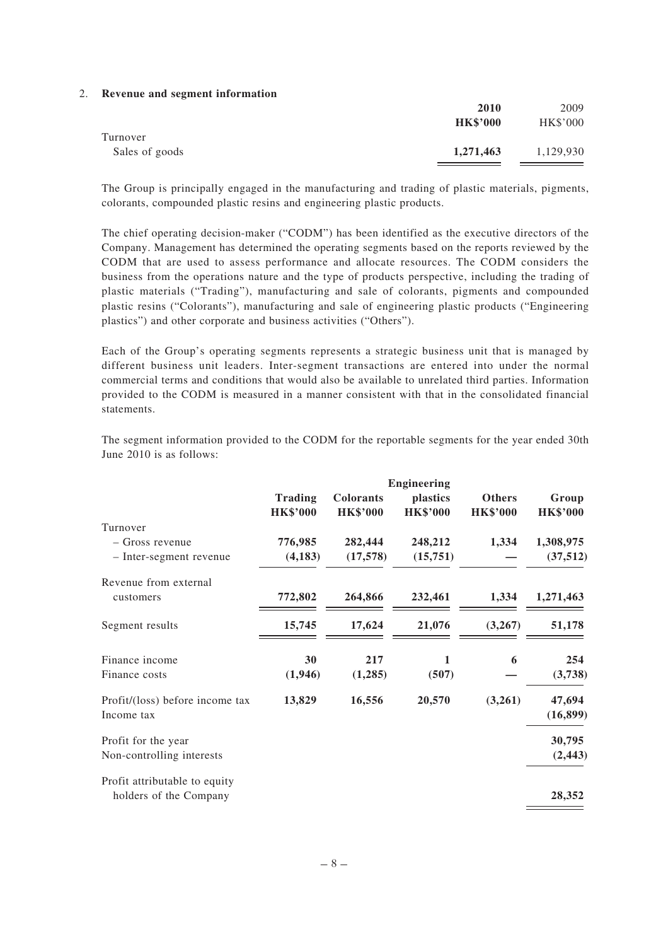#### 2. **Revenue and segment information**

|                | 2010            | 2009      |
|----------------|-----------------|-----------|
|                | <b>HK\$'000</b> | HK\$'000  |
| Turnover       |                 |           |
| Sales of goods | 1,271,463       | 1,129,930 |

The Group is principally engaged in the manufacturing and trading of plastic materials, pigments, colorants, compounded plastic resins and engineering plastic products.

The chief operating decision-maker ("CODM") has been identified as the executive directors of the Company. Management has determined the operating segments based on the reports reviewed by the CODM that are used to assess performance and allocate resources. The CODM considers the business from the operations nature and the type of products perspective, including the trading of plastic materials ("Trading"), manufacturing and sale of colorants, pigments and compounded plastic resins ("Colorants"), manufacturing and sale of engineering plastic products ("Engineering plastics") and other corporate and business activities ("Others").

Each of the Group's operating segments represents a strategic business unit that is managed by different business unit leaders. Inter-segment transactions are entered into under the normal commercial terms and conditions that would also be available to unrelated third parties. Information provided to the CODM is measured in a manner consistent with that in the consolidated financial statements.

The segment information provided to the CODM for the reportable segments for the year ended 30th June 2010 is as follows:

| <b>Engineering</b>                |                                     |                             |                                  |                          |
|-----------------------------------|-------------------------------------|-----------------------------|----------------------------------|--------------------------|
| <b>Trading</b><br><b>HK\$'000</b> | <b>Colorants</b><br><b>HK\$'000</b> | plastics<br><b>HK\$'000</b> | <b>Others</b><br><b>HK\$'000</b> | Group<br><b>HK\$'000</b> |
|                                   |                                     |                             |                                  |                          |
| 776,985                           | 282,444                             | 248,212                     | 1,334                            | 1,308,975                |
| (4,183)                           | (17, 578)                           | (15,751)                    |                                  | (37, 512)                |
|                                   |                                     |                             |                                  |                          |
| 772,802                           | 264,866                             | 232,461                     | 1,334                            | 1,271,463                |
| 15,745                            | 17,624                              | 21,076                      | (3,267)                          | 51,178                   |
| 30                                | 217                                 | 1                           | 6                                | 254                      |
| (1,946)                           | (1,285)                             | (507)                       |                                  | (3,738)                  |
| 13,829                            | 16,556                              | 20,570                      | (3,261)                          | 47,694                   |
|                                   |                                     |                             |                                  | (16, 899)                |
|                                   |                                     |                             |                                  | 30,795                   |
|                                   |                                     |                             |                                  | (2, 443)                 |
|                                   |                                     |                             |                                  |                          |
|                                   |                                     |                             |                                  | 28,352                   |
|                                   |                                     |                             |                                  |                          |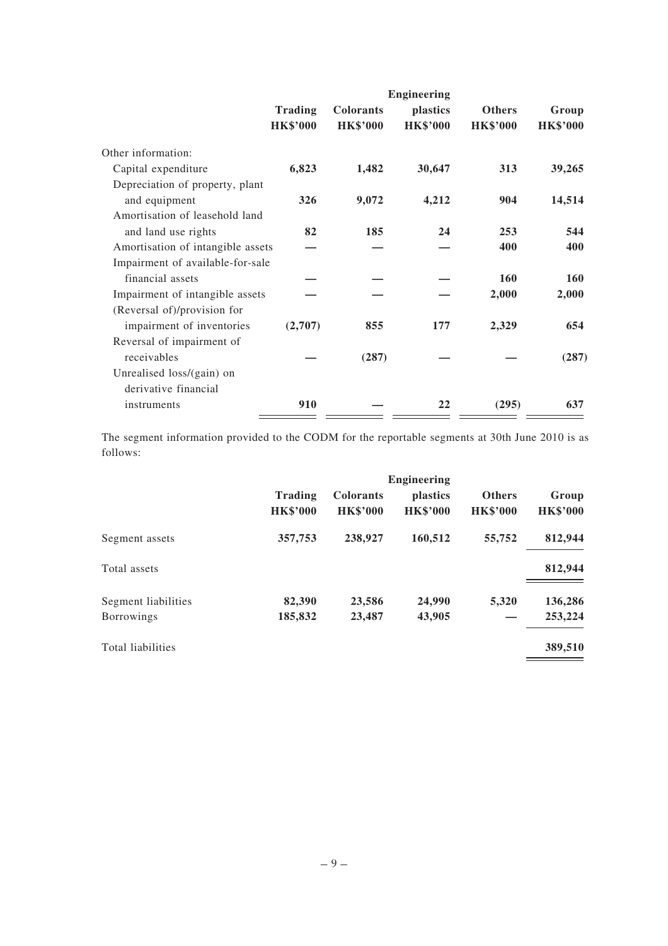| <b>Trading</b> | <b>Colorants</b>                                     | <i>plastics</i> | <b>Others</b>      | Group           |
|----------------|------------------------------------------------------|-----------------|--------------------|-----------------|
|                | <b>HK\$'000</b>                                      | <b>HK\$'000</b> | <b>HK\$'000</b>    | <b>HK\$'000</b> |
|                |                                                      |                 |                    |                 |
| 6,823          | 1,482                                                | 30,647          | 313                | 39,265          |
|                |                                                      |                 |                    |                 |
| 326            | 9,072                                                | 4,212           | 904                | 14,514          |
|                |                                                      |                 |                    |                 |
| 82             | 185                                                  | 24              | 253                | 544             |
|                |                                                      |                 | 400                | 400             |
|                |                                                      |                 |                    |                 |
|                |                                                      |                 | <b>160</b>         | <b>160</b>      |
|                |                                                      |                 | 2,000              | 2,000           |
|                |                                                      |                 |                    |                 |
| (2,707)        | 855                                                  | 177             | 2,329              | 654             |
|                |                                                      |                 |                    |                 |
|                | (287)                                                |                 |                    | (287)           |
|                |                                                      |                 |                    |                 |
|                |                                                      |                 |                    |                 |
| 910            |                                                      | 22              | (295)              | 637             |
|                | <b>HK\$'000</b><br>Amortisation of intangible assets |                 | <b>Engineering</b> |                 |

The segment information provided to the CODM for the reportable segments at 30th June 2010 is as follows:

|                     | <b>Engineering</b>                |                                     |                                    |                                  |                          |
|---------------------|-----------------------------------|-------------------------------------|------------------------------------|----------------------------------|--------------------------|
|                     | <b>Trading</b><br><b>HK\$'000</b> | <b>Colorants</b><br><b>HK\$'000</b> | <i>plastics</i><br><b>HK\$'000</b> | <b>Others</b><br><b>HK\$'000</b> | Group<br><b>HK\$'000</b> |
| Segment assets      | 357,753                           | 238,927                             | 160,512                            | 55,752                           | 812,944                  |
| Total assets        |                                   |                                     |                                    |                                  | 812,944                  |
| Segment liabilities | 82,390                            | 23,586                              | 24,990                             | 5,320                            | 136,286                  |
| <b>Borrowings</b>   | 185,832                           | 23,487                              | 43,905                             |                                  | 253,224                  |
| Total liabilities   |                                   |                                     |                                    |                                  | 389,510                  |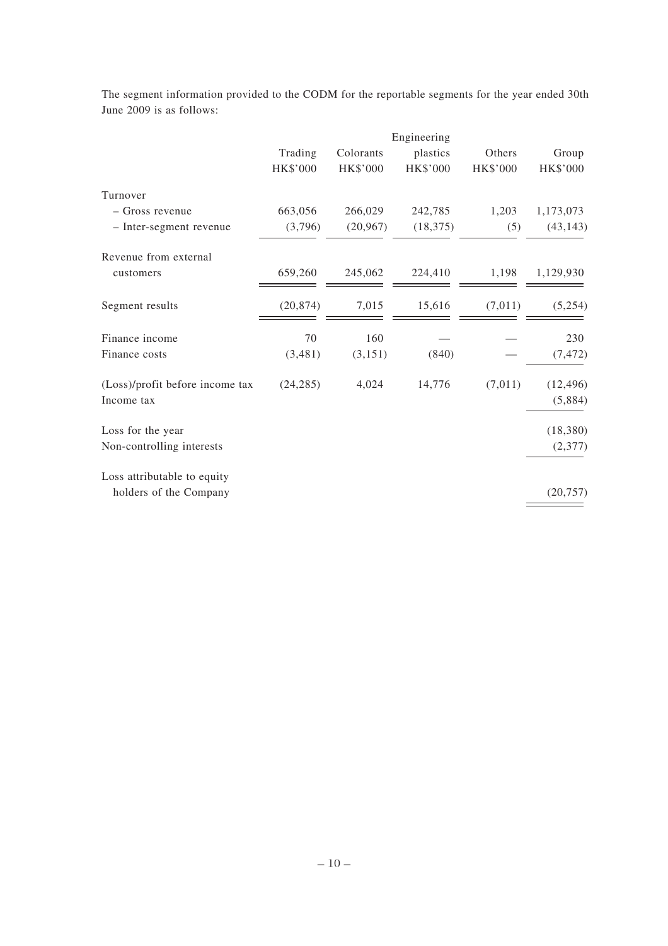|                                 | Engineering |           |                 |          |           |       |
|---------------------------------|-------------|-----------|-----------------|----------|-----------|-------|
|                                 | Trading     |           | Colorants       | plastics | Others    | Group |
|                                 | HK\$'000    | HK\$'000  | <b>HK\$'000</b> | HK\$'000 | HK\$'000  |       |
| Turnover                        |             |           |                 |          |           |       |
| - Gross revenue                 | 663,056     | 266,029   | 242,785         | 1,203    | 1,173,073 |       |
| - Inter-segment revenue         | (3,796)     | (20, 967) | (18, 375)       | (5)      | (43, 143) |       |
| Revenue from external           |             |           |                 |          |           |       |
| customers                       | 659,260     | 245,062   | 224,410         | 1,198    | 1,129,930 |       |
| Segment results                 | (20, 874)   | 7,015     | 15,616          | (7,011)  | (5,254)   |       |
| Finance income                  | 70          | 160       |                 |          | 230       |       |
| Finance costs                   | (3,481)     | (3, 151)  | (840)           |          | (7, 472)  |       |
| (Loss)/profit before income tax | (24, 285)   | 4,024     | 14,776          | (7,011)  | (12, 496) |       |
| Income tax                      |             |           |                 |          | (5,884)   |       |
| Loss for the year               |             |           |                 |          | (18, 380) |       |
| Non-controlling interests       |             |           |                 |          | (2,377)   |       |
| Loss attributable to equity     |             |           |                 |          |           |       |
| holders of the Company          |             |           |                 |          | (20, 757) |       |

The segment information provided to the CODM for the reportable segments for the year ended 30th June 2009 is as follows: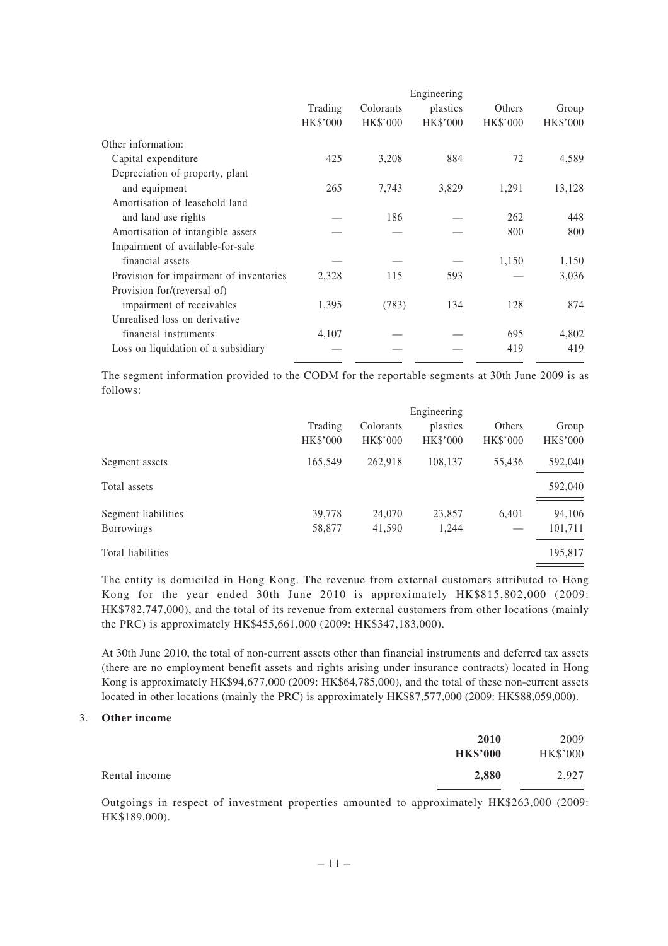|                                         |          |           | Engineering |          |          |
|-----------------------------------------|----------|-----------|-------------|----------|----------|
|                                         | Trading  | Colorants | plastics    | Others   | Group    |
|                                         | HK\$'000 | HK\$'000  | HK\$'000    | HK\$'000 | HK\$'000 |
| Other information:                      |          |           |             |          |          |
| Capital expenditure                     | 425      | 3,208     | 884         | 72       | 4,589    |
| Depreciation of property, plant         |          |           |             |          |          |
| and equipment                           | 265      | 7,743     | 3,829       | 1,291    | 13,128   |
| Amortisation of leasehold land          |          |           |             |          |          |
| and land use rights                     |          | 186       |             | 262      | 448      |
| Amortisation of intangible assets       |          |           |             | 800      | 800      |
| Impairment of available-for-sale        |          |           |             |          |          |
| financial assets                        |          |           |             | 1,150    | 1,150    |
| Provision for impairment of inventories | 2,328    | 115       | 593         |          | 3,036    |
| Provision for/(reversal of)             |          |           |             |          |          |
| impairment of receivables               | 1,395    | (783)     | 134         | 128      | 874      |
| Unrealised loss on derivative           |          |           |             |          |          |
| financial instruments                   | 4,107    |           |             | 695      | 4,802    |
| Loss on liquidation of a subsidiary     |          |           |             | 419      | 419      |
|                                         |          |           |             |          |          |

The segment information provided to the CODM for the reportable segments at 30th June 2009 is as follows:

|                                          |                     |                              | Engineering                 |                           |                   |
|------------------------------------------|---------------------|------------------------------|-----------------------------|---------------------------|-------------------|
|                                          | Trading<br>HK\$'000 | Colorants<br><b>HK\$'000</b> | plastics<br><b>HK\$'000</b> | <b>Others</b><br>HK\$'000 | Group<br>HK\$'000 |
| Segment assets                           | 165,549             | 262,918                      | 108,137                     | 55,436                    | 592,040           |
| Total assets                             |                     |                              |                             |                           | 592,040           |
| Segment liabilities<br><b>Borrowings</b> | 39,778<br>58,877    | 24,070<br>41,590             | 23,857<br>1,244             | 6,401                     | 94,106<br>101,711 |
| Total liabilities                        |                     |                              |                             |                           | 195,817           |

The entity is domiciled in Hong Kong. The revenue from external customers attributed to Hong Kong for the year ended 30th June 2010 is approximately HK\$815,802,000 (2009: HK\$782,747,000), and the total of its revenue from external customers from other locations (mainly the PRC) is approximately HK\$455,661,000 (2009: HK\$347,183,000).

At 30th June 2010, the total of non-current assets other than financial instruments and deferred tax assets (there are no employment benefit assets and rights arising under insurance contracts) located in Hong Kong is approximately HK\$94,677,000 (2009: HK\$64,785,000), and the total of these non-current assets located in other locations (mainly the PRC) is approximately HK\$87,577,000 (2009: HK\$88,059,000).

### 3. **Other income**

|               | 2010<br><b>HK\$'000</b> | 2009<br>HK\$'000 |
|---------------|-------------------------|------------------|
| Rental income | 2,880                   | 2.927            |

Outgoings in respect of investment properties amounted to approximately HK\$263,000 (2009: HK\$189,000).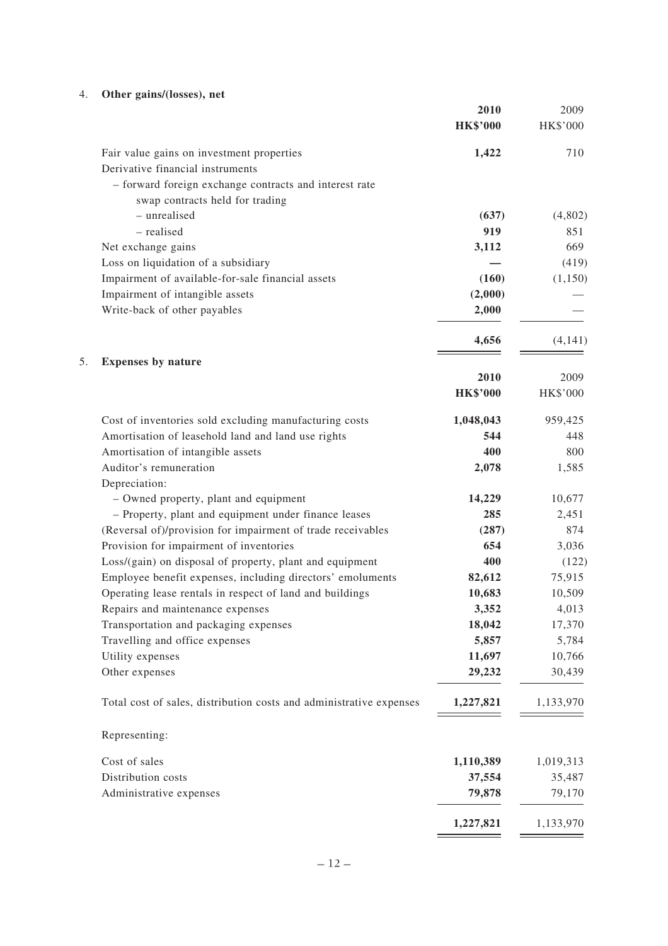## 4. **Other gains/(losses), net**

|    |                                                                     | 2010<br><b>HK\$'000</b> | 2009<br>HK\$'000 |
|----|---------------------------------------------------------------------|-------------------------|------------------|
|    | Fair value gains on investment properties                           | 1,422                   | 710              |
|    | Derivative financial instruments                                    |                         |                  |
|    | - forward foreign exchange contracts and interest rate              |                         |                  |
|    | swap contracts held for trading                                     |                         |                  |
|    | - unrealised                                                        | (637)                   | (4,802)          |
|    | - realised                                                          | 919                     | 851              |
|    | Net exchange gains                                                  | 3,112                   | 669              |
|    | Loss on liquidation of a subsidiary                                 |                         | (419)            |
|    | Impairment of available-for-sale financial assets                   | (160)                   | (1,150)          |
|    | Impairment of intangible assets                                     | (2,000)                 |                  |
|    | Write-back of other payables                                        | 2,000                   |                  |
|    |                                                                     | 4,656                   | (4,141)          |
| 5. | <b>Expenses by nature</b>                                           |                         |                  |
|    |                                                                     | 2010                    | 2009             |
|    |                                                                     | <b>HK\$'000</b>         | HK\$'000         |
|    | Cost of inventories sold excluding manufacturing costs              | 1,048,043               | 959,425          |
|    | Amortisation of leasehold land and land use rights                  | 544                     | 448              |
|    | Amortisation of intangible assets                                   | 400                     | 800              |
|    | Auditor's remuneration                                              | 2,078                   | 1,585            |
|    | Depreciation:                                                       |                         |                  |
|    | - Owned property, plant and equipment                               | 14,229                  | 10,677           |
|    | - Property, plant and equipment under finance leases                | 285                     | 2,451            |
|    | (Reversal of)/provision for impairment of trade receivables         | (287)                   | 874              |
|    | Provision for impairment of inventories                             | 654                     | 3,036            |
|    | Loss/(gain) on disposal of property, plant and equipment            | 400                     | (122)            |
|    | Employee benefit expenses, including directors' emoluments          | 82,612                  | 75,915           |
|    | Operating lease rentals in respect of land and buildings            | 10,683                  | 10,509           |
|    | Repairs and maintenance expenses                                    | 3,352                   | 4,013            |
|    | Transportation and packaging expenses                               | 18,042                  | 17,370           |
|    | Travelling and office expenses                                      | 5,857                   | 5,784            |
|    | Utility expenses                                                    | 11,697                  | 10,766           |
|    | Other expenses                                                      | 29,232                  | 30,439           |
|    | Total cost of sales, distribution costs and administrative expenses | 1,227,821               | 1,133,970        |
|    | Representing:                                                       |                         |                  |
|    | Cost of sales                                                       | 1,110,389               | 1,019,313        |
|    | Distribution costs                                                  | 37,554                  | 35,487           |
|    | Administrative expenses                                             | 79,878                  | 79,170           |
|    |                                                                     | 1,227,821               | 1,133,970        |

 $=$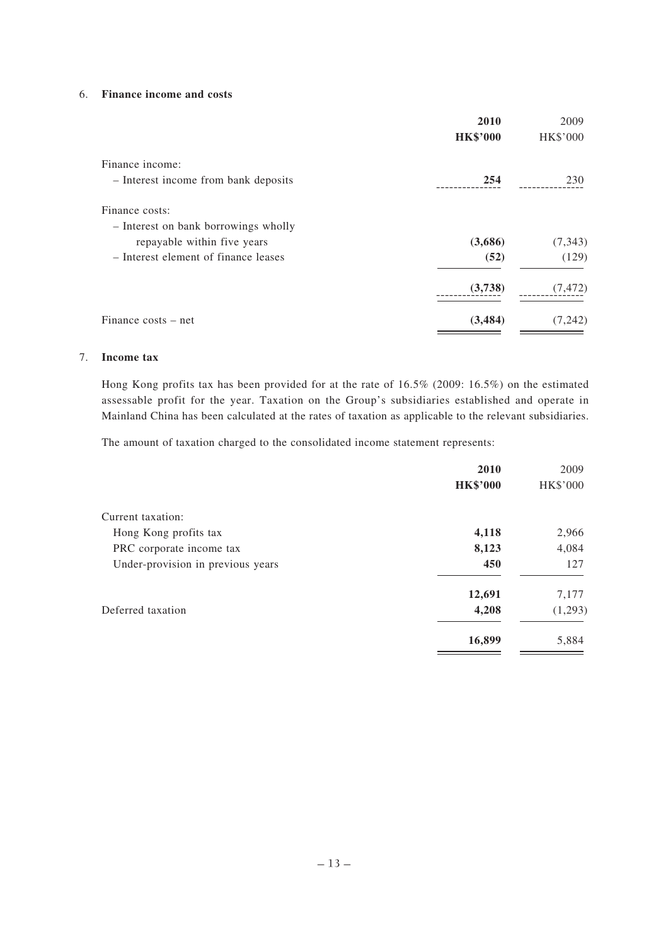#### 6. **Finance income and costs**

|                                      | 2010            | 2009            |
|--------------------------------------|-----------------|-----------------|
|                                      | <b>HK\$'000</b> | <b>HK\$'000</b> |
| Finance income:                      |                 |                 |
| - Interest income from bank deposits | 254             | 230             |
| Finance costs:                       |                 |                 |
| - Interest on bank borrowings wholly |                 |                 |
| repayable within five years          | (3,686)         | (7, 343)        |
| - Interest element of finance leases | (52)            | (129)           |
|                                      | (3,738)         | (7, 472)        |
| Finance costs – net                  | (3, 484)        | (7,242)         |

#### 7. **Income tax**

Hong Kong profits tax has been provided for at the rate of 16.5% (2009: 16.5%) on the estimated assessable profit for the year. Taxation on the Group's subsidiaries established and operate in Mainland China has been calculated at the rates of taxation as applicable to the relevant subsidiaries.

The amount of taxation charged to the consolidated income statement represents:

|                                   | 2010<br><b>HK\$'000</b> | 2009<br>HK\$'000 |
|-----------------------------------|-------------------------|------------------|
| Current taxation:                 |                         |                  |
| Hong Kong profits tax             | 4,118                   | 2,966            |
| PRC corporate income tax          | 8,123                   | 4,084            |
| Under-provision in previous years | 450                     | 127              |
|                                   | 12,691                  | 7,177            |
| Deferred taxation                 | 4,208                   | (1,293)          |
|                                   | 16,899                  | 5,884            |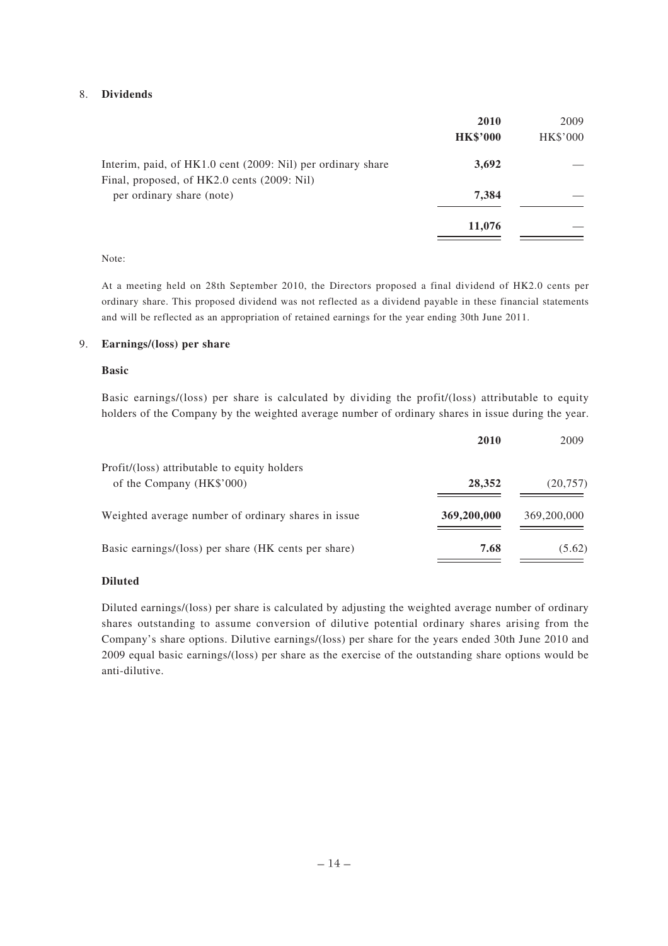#### 8. **Dividends**

|                                                                                                            | 2010<br><b>HK\$'000</b> | 2009<br>HK\$'000 |
|------------------------------------------------------------------------------------------------------------|-------------------------|------------------|
| Interim, paid, of HK1.0 cent (2009: Nil) per ordinary share<br>Final, proposed, of HK2.0 cents (2009: Nil) | 3,692                   |                  |
| per ordinary share (note)                                                                                  | 7,384                   |                  |
|                                                                                                            | 11,076                  |                  |

Note:

At a meeting held on 28th September 2010, the Directors proposed a final dividend of HK2.0 cents per ordinary share. This proposed dividend was not reflected as a dividend payable in these financial statements and will be reflected as an appropriation of retained earnings for the year ending 30th June 2011.

#### 9. **Earnings/(loss) per share**

#### **Basic**

Basic earnings/(loss) per share is calculated by dividing the profit/(loss) attributable to equity holders of the Company by the weighted average number of ordinary shares in issue during the year.

|                                                      | 2010        | 2009        |
|------------------------------------------------------|-------------|-------------|
| Profit/(loss) attributable to equity holders         |             |             |
| of the Company (HK\$'000)                            | 28,352      | (20, 757)   |
| Weighted average number of ordinary shares in issue  | 369,200,000 | 369,200,000 |
| Basic earnings/(loss) per share (HK cents per share) | 7.68        | (5.62)      |

#### **Diluted**

Diluted earnings/(loss) per share is calculated by adjusting the weighted average number of ordinary shares outstanding to assume conversion of dilutive potential ordinary shares arising from the Company's share options. Dilutive earnings/(loss) per share for the years ended 30th June 2010 and 2009 equal basic earnings/(loss) per share as the exercise of the outstanding share options would be anti-dilutive.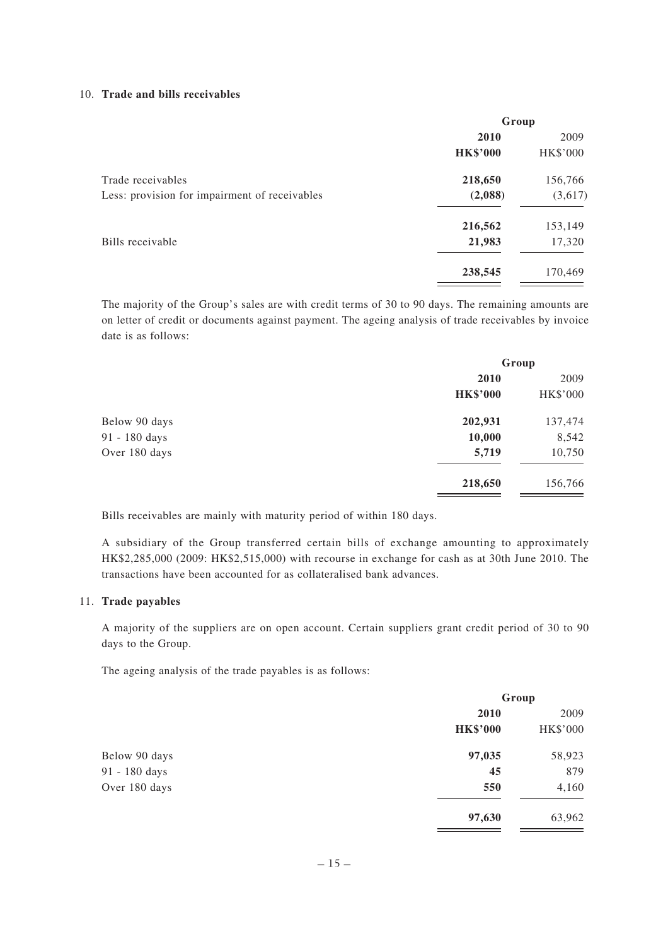#### 10. **Trade and bills receivables**

|                                               | Group           |          |
|-----------------------------------------------|-----------------|----------|
|                                               | 2010            | 2009     |
|                                               | <b>HK\$'000</b> | HK\$'000 |
| Trade receivables                             | 218,650         | 156,766  |
| Less: provision for impairment of receivables | (2,088)         | (3,617)  |
|                                               | 216,562         | 153,149  |
| Bills receivable                              | 21,983          | 17,320   |
|                                               | 238,545         | 170,469  |

The majority of the Group's sales are with credit terms of 30 to 90 days. The remaining amounts are on letter of credit or documents against payment. The ageing analysis of trade receivables by invoice date is as follows:

|               |                 | Group    |
|---------------|-----------------|----------|
|               | 2010            | 2009     |
|               | <b>HK\$'000</b> | HK\$'000 |
| Below 90 days | 202,931         | 137,474  |
| 91 - 180 days | 10,000          | 8,542    |
| Over 180 days | 5,719           | 10,750   |
|               | 218,650         | 156,766  |

Bills receivables are mainly with maturity period of within 180 days.

A subsidiary of the Group transferred certain bills of exchange amounting to approximately HK\$2,285,000 (2009: HK\$2,515,000) with recourse in exchange for cash as at 30th June 2010. The transactions have been accounted for as collateralised bank advances.

#### 11. **Trade payables**

A majority of the suppliers are on open account. Certain suppliers grant credit period of 30 to 90 days to the Group.

The ageing analysis of the trade payables is as follows:

|               | Group           |                 |
|---------------|-----------------|-----------------|
|               | 2010            | 2009            |
|               | <b>HK\$'000</b> | <b>HK\$'000</b> |
| Below 90 days | 97,035          | 58,923          |
| 91 - 180 days | 45              | 879             |
| Over 180 days | 550             | 4,160           |
|               | 97,630          | 63,962          |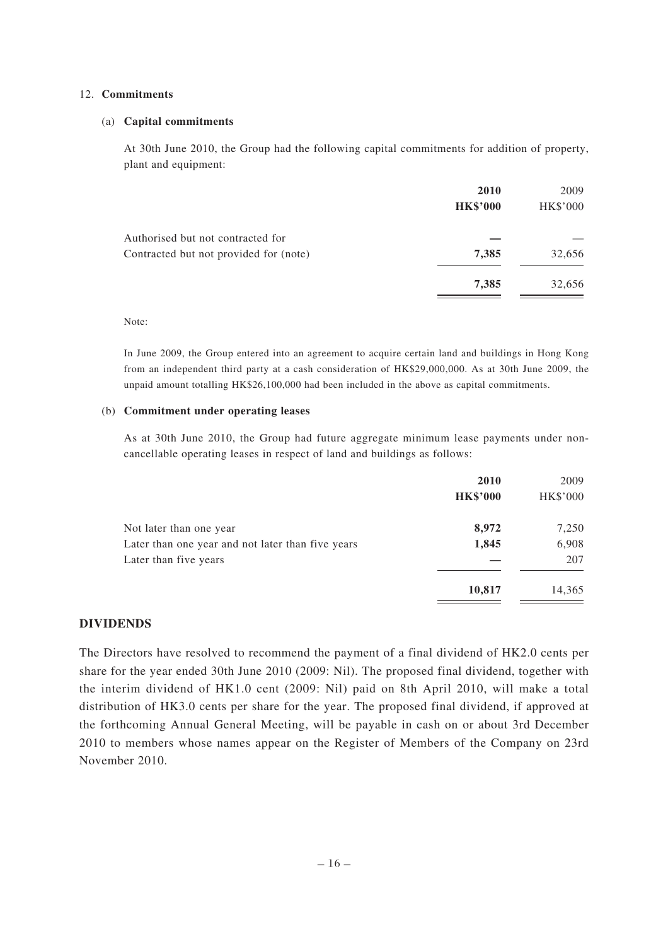#### 12. **Commitments**

#### (a) **Capital commitments**

At 30th June 2010, the Group had the following capital commitments for addition of property, plant and equipment:

|                                        | 2010            | 2009     |
|----------------------------------------|-----------------|----------|
|                                        | <b>HK\$'000</b> | HK\$'000 |
| Authorised but not contracted for      |                 |          |
| Contracted but not provided for (note) | 7,385           | 32,656   |
|                                        | 7,385           | 32,656   |

Note:

In June 2009, the Group entered into an agreement to acquire certain land and buildings in Hong Kong from an independent third party at a cash consideration of HK\$29,000,000. As at 30th June 2009, the unpaid amount totalling HK\$26,100,000 had been included in the above as capital commitments.

#### (b) **Commitment under operating leases**

As at 30th June 2010, the Group had future aggregate minimum lease payments under noncancellable operating leases in respect of land and buildings as follows:

|                                                   | 2010<br><b>HK\$'000</b> | 2009<br>HK\$'000 |
|---------------------------------------------------|-------------------------|------------------|
| Not later than one year                           | 8,972                   | 7,250            |
| Later than one year and not later than five years | 1,845                   | 6,908            |
| Later than five years                             |                         | 207              |
|                                                   | 10,817                  | 14,365           |

### **DIVIDENDS**

The Directors have resolved to recommend the payment of a final dividend of HK2.0 cents per share for the year ended 30th June 2010 (2009: Nil). The proposed final dividend, together with the interim dividend of HK1.0 cent (2009: Nil) paid on 8th April 2010, will make a total distribution of HK3.0 cents per share for the year. The proposed final dividend, if approved at the forthcoming Annual General Meeting, will be payable in cash on or about 3rd December 2010 to members whose names appear on the Register of Members of the Company on 23rd November 2010.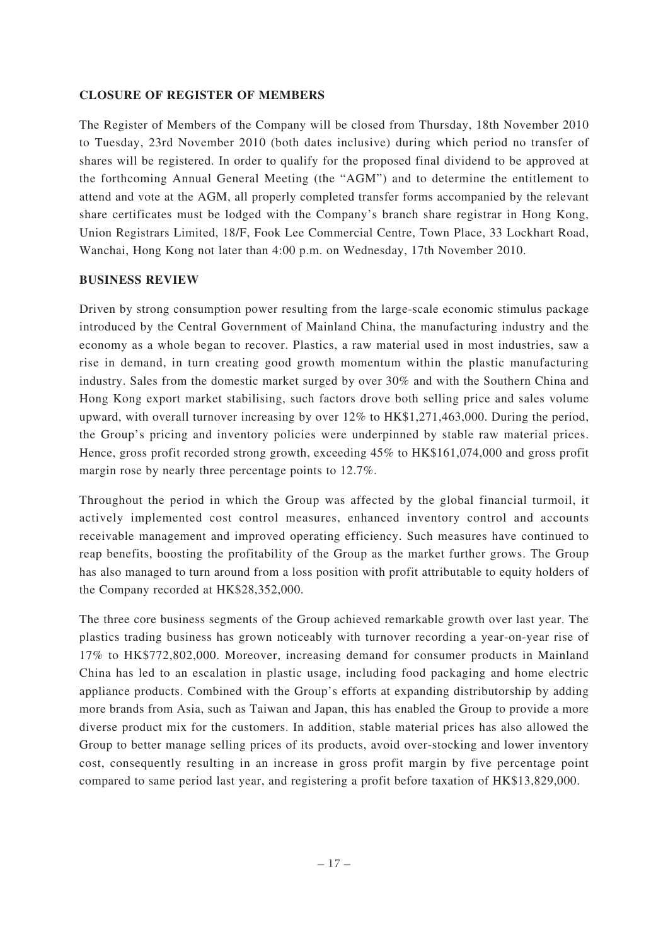### **CLOSURE OF REGISTER OF MEMBERS**

The Register of Members of the Company will be closed from Thursday, 18th November 2010 to Tuesday, 23rd November 2010 (both dates inclusive) during which period no transfer of shares will be registered. In order to qualify for the proposed final dividend to be approved at the forthcoming Annual General Meeting (the "AGM") and to determine the entitlement to attend and vote at the AGM, all properly completed transfer forms accompanied by the relevant share certificates must be lodged with the Company's branch share registrar in Hong Kong, Union Registrars Limited, 18/F, Fook Lee Commercial Centre, Town Place, 33 Lockhart Road, Wanchai, Hong Kong not later than 4:00 p.m. on Wednesday, 17th November 2010.

### **BUSINESS REVIEW**

Driven by strong consumption power resulting from the large-scale economic stimulus package introduced by the Central Government of Mainland China, the manufacturing industry and the economy as a whole began to recover. Plastics, a raw material used in most industries, saw a rise in demand, in turn creating good growth momentum within the plastic manufacturing industry. Sales from the domestic market surged by over 30% and with the Southern China and Hong Kong export market stabilising, such factors drove both selling price and sales volume upward, with overall turnover increasing by over 12% to HK\$1,271,463,000. During the period, the Group's pricing and inventory policies were underpinned by stable raw material prices. Hence, gross profit recorded strong growth, exceeding 45% to HK\$161,074,000 and gross profit margin rose by nearly three percentage points to 12.7%.

Throughout the period in which the Group was affected by the global financial turmoil, it actively implemented cost control measures, enhanced inventory control and accounts receivable management and improved operating efficiency. Such measures have continued to reap benefits, boosting the profitability of the Group as the market further grows. The Group has also managed to turn around from a loss position with profit attributable to equity holders of the Company recorded at HK\$28,352,000.

The three core business segments of the Group achieved remarkable growth over last year. The plastics trading business has grown noticeably with turnover recording a year-on-year rise of 17% to HK\$772,802,000. Moreover, increasing demand for consumer products in Mainland China has led to an escalation in plastic usage, including food packaging and home electric appliance products. Combined with the Group's efforts at expanding distributorship by adding more brands from Asia, such as Taiwan and Japan, this has enabled the Group to provide a more diverse product mix for the customers. In addition, stable material prices has also allowed the Group to better manage selling prices of its products, avoid over-stocking and lower inventory cost, consequently resulting in an increase in gross profit margin by five percentage point compared to same period last year, and registering a profit before taxation of HK\$13,829,000.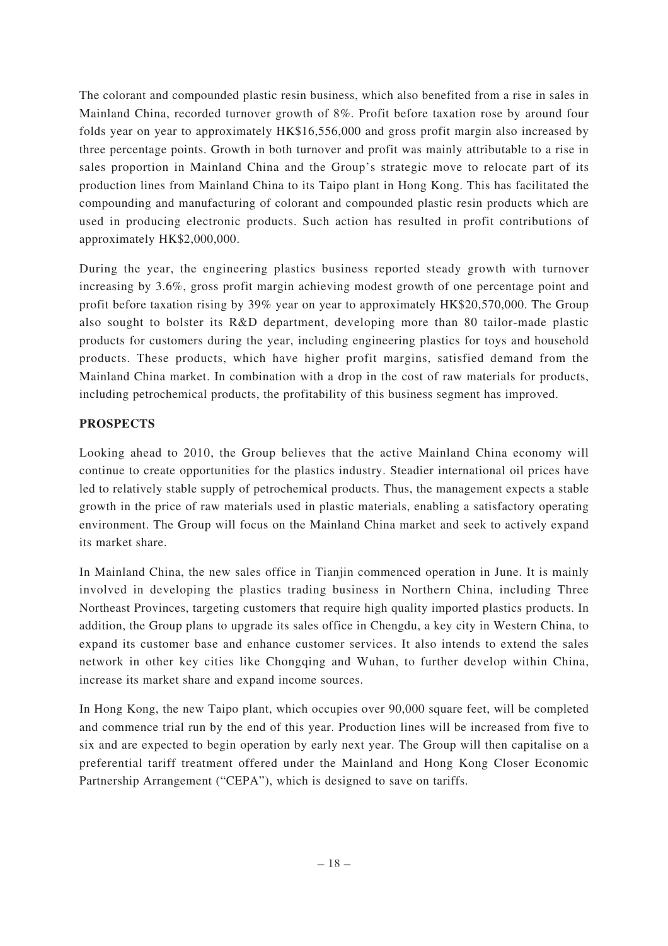The colorant and compounded plastic resin business, which also benefited from a rise in sales in Mainland China, recorded turnover growth of 8%. Profit before taxation rose by around four folds year on year to approximately HK\$16,556,000 and gross profit margin also increased by three percentage points. Growth in both turnover and profit was mainly attributable to a rise in sales proportion in Mainland China and the Group's strategic move to relocate part of its production lines from Mainland China to its Taipo plant in Hong Kong. This has facilitated the compounding and manufacturing of colorant and compounded plastic resin products which are used in producing electronic products. Such action has resulted in profit contributions of approximately HK\$2,000,000.

During the year, the engineering plastics business reported steady growth with turnover increasing by 3.6%, gross profit margin achieving modest growth of one percentage point and profit before taxation rising by 39% year on year to approximately HK\$20,570,000. The Group also sought to bolster its R&D department, developing more than 80 tailor-made plastic products for customers during the year, including engineering plastics for toys and household products. These products, which have higher profit margins, satisfied demand from the Mainland China market. In combination with a drop in the cost of raw materials for products, including petrochemical products, the profitability of this business segment has improved.

# **PROSPECTS**

Looking ahead to 2010, the Group believes that the active Mainland China economy will continue to create opportunities for the plastics industry. Steadier international oil prices have led to relatively stable supply of petrochemical products. Thus, the management expects a stable growth in the price of raw materials used in plastic materials, enabling a satisfactory operating environment. The Group will focus on the Mainland China market and seek to actively expand its market share.

In Mainland China, the new sales office in Tianjin commenced operation in June. It is mainly involved in developing the plastics trading business in Northern China, including Three Northeast Provinces, targeting customers that require high quality imported plastics products. In addition, the Group plans to upgrade its sales office in Chengdu, a key city in Western China, to expand its customer base and enhance customer services. It also intends to extend the sales network in other key cities like Chongqing and Wuhan, to further develop within China, increase its market share and expand income sources.

In Hong Kong, the new Taipo plant, which occupies over 90,000 square feet, will be completed and commence trial run by the end of this year. Production lines will be increased from five to six and are expected to begin operation by early next year. The Group will then capitalise on a preferential tariff treatment offered under the Mainland and Hong Kong Closer Economic Partnership Arrangement ("CEPA"), which is designed to save on tariffs.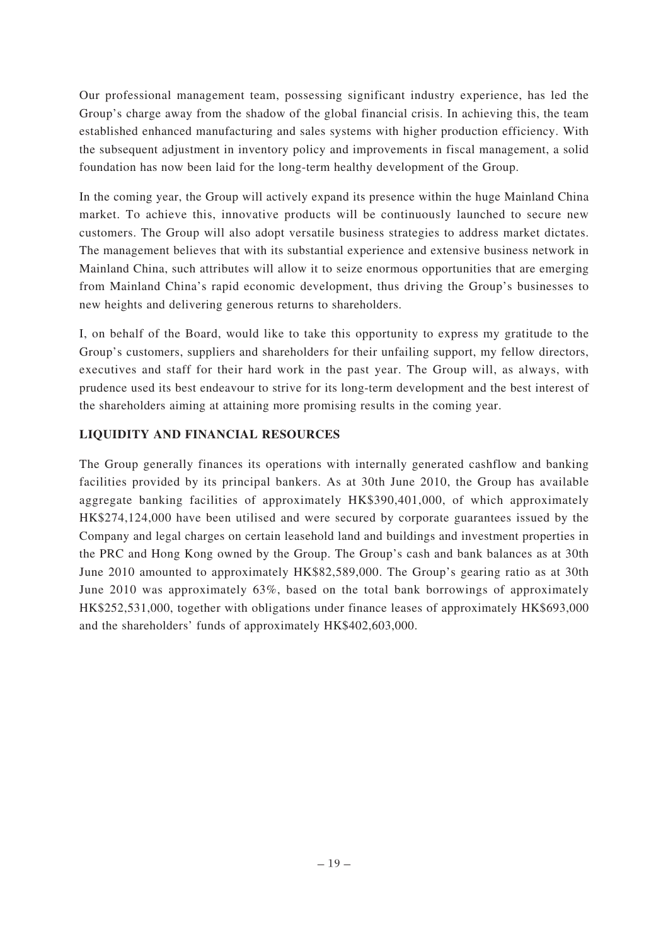Our professional management team, possessing significant industry experience, has led the Group's charge away from the shadow of the global financial crisis. In achieving this, the team established enhanced manufacturing and sales systems with higher production efficiency. With the subsequent adjustment in inventory policy and improvements in fiscal management, a solid foundation has now been laid for the long-term healthy development of the Group.

In the coming year, the Group will actively expand its presence within the huge Mainland China market. To achieve this, innovative products will be continuously launched to secure new customers. The Group will also adopt versatile business strategies to address market dictates. The management believes that with its substantial experience and extensive business network in Mainland China, such attributes will allow it to seize enormous opportunities that are emerging from Mainland China's rapid economic development, thus driving the Group's businesses to new heights and delivering generous returns to shareholders.

I, on behalf of the Board, would like to take this opportunity to express my gratitude to the Group's customers, suppliers and shareholders for their unfailing support, my fellow directors, executives and staff for their hard work in the past year. The Group will, as always, with prudence used its best endeavour to strive for its long-term development and the best interest of the shareholders aiming at attaining more promising results in the coming year.

# **LIQUIDITY AND FINANCIAL RESOURCES**

The Group generally finances its operations with internally generated cashflow and banking facilities provided by its principal bankers. As at 30th June 2010, the Group has available aggregate banking facilities of approximately HK\$390,401,000, of which approximately HK\$274,124,000 have been utilised and were secured by corporate guarantees issued by the Company and legal charges on certain leasehold land and buildings and investment properties in the PRC and Hong Kong owned by the Group. The Group's cash and bank balances as at 30th June 2010 amounted to approximately HK\$82,589,000. The Group's gearing ratio as at 30th June 2010 was approximately 63%, based on the total bank borrowings of approximately HK\$252,531,000, together with obligations under finance leases of approximately HK\$693,000 and the shareholders' funds of approximately HK\$402,603,000.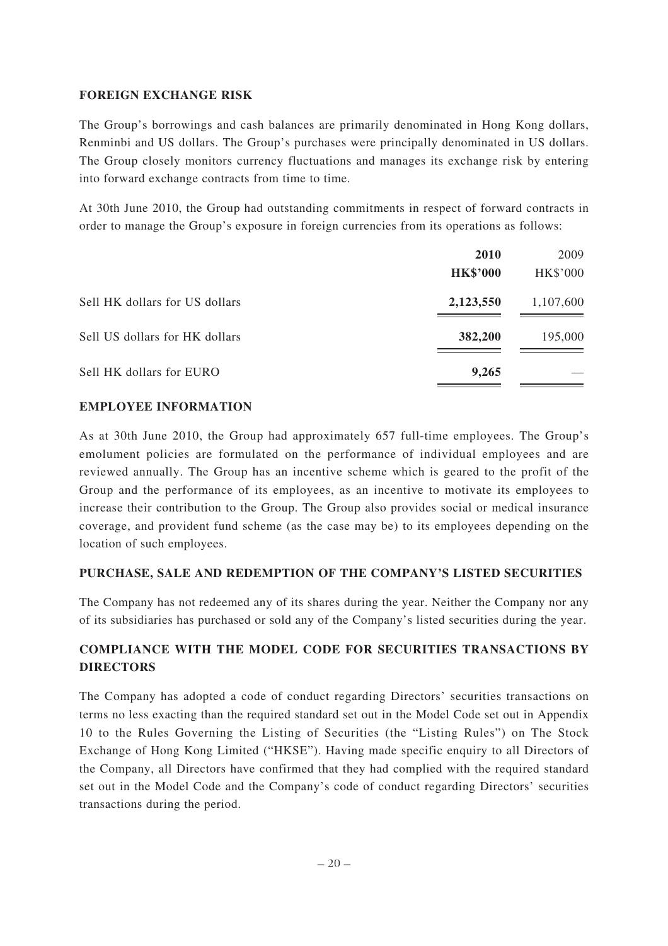### **FOREIGN EXCHANGE RISK**

The Group's borrowings and cash balances are primarily denominated in Hong Kong dollars, Renminbi and US dollars. The Group's purchases were principally denominated in US dollars. The Group closely monitors currency fluctuations and manages its exchange risk by entering into forward exchange contracts from time to time.

At 30th June 2010, the Group had outstanding commitments in respect of forward contracts in order to manage the Group's exposure in foreign currencies from its operations as follows:

|                                | 2010            | 2009      |
|--------------------------------|-----------------|-----------|
|                                | <b>HK\$'000</b> | HK\$'000  |
| Sell HK dollars for US dollars | 2,123,550       | 1,107,600 |
| Sell US dollars for HK dollars | 382,200         | 195,000   |
| Sell HK dollars for EURO       | 9,265           |           |

### **EMPLOYEE INFORMATION**

As at 30th June 2010, the Group had approximately 657 full-time employees. The Group's emolument policies are formulated on the performance of individual employees and are reviewed annually. The Group has an incentive scheme which is geared to the profit of the Group and the performance of its employees, as an incentive to motivate its employees to increase their contribution to the Group. The Group also provides social or medical insurance coverage, and provident fund scheme (as the case may be) to its employees depending on the location of such employees.

# **PURCHASE, SALE AND REDEMPTION OF THE COMPANY'S LISTED SECURITIES**

The Company has not redeemed any of its shares during the year. Neither the Company nor any of its subsidiaries has purchased or sold any of the Company's listed securities during the year.

# **COMPLIANCE WITH THE MODEL CODE FOR SECURITIES TRANSACTIONS BY DIRECTORS**

The Company has adopted a code of conduct regarding Directors' securities transactions on terms no less exacting than the required standard set out in the Model Code set out in Appendix 10 to the Rules Governing the Listing of Securities (the "Listing Rules") on The Stock Exchange of Hong Kong Limited ("HKSE"). Having made specific enquiry to all Directors of the Company, all Directors have confirmed that they had complied with the required standard set out in the Model Code and the Company's code of conduct regarding Directors' securities transactions during the period.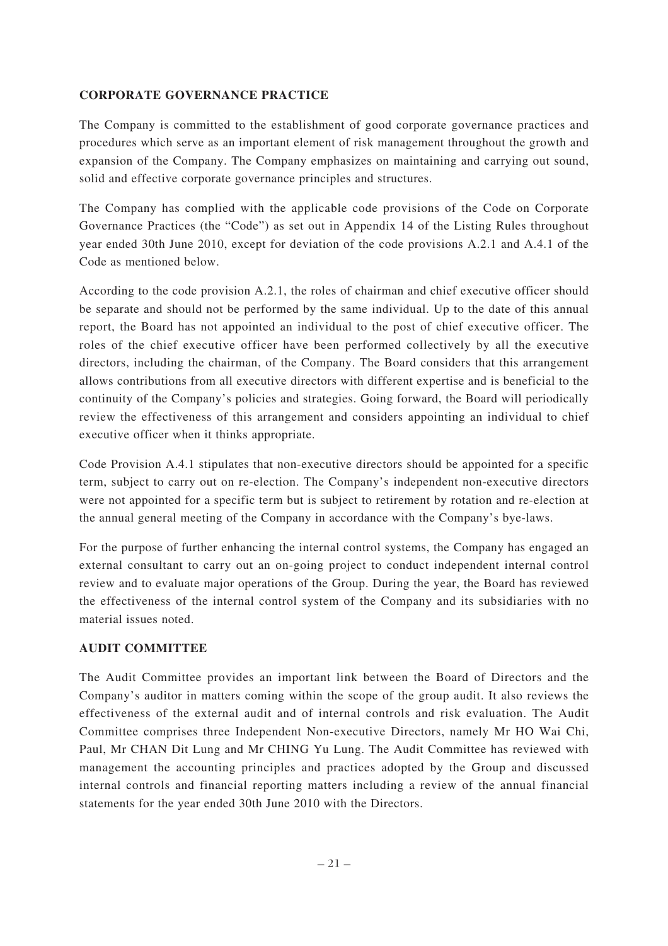### **CORPORATE GOVERNANCE PRACTICE**

The Company is committed to the establishment of good corporate governance practices and procedures which serve as an important element of risk management throughout the growth and expansion of the Company. The Company emphasizes on maintaining and carrying out sound, solid and effective corporate governance principles and structures.

The Company has complied with the applicable code provisions of the Code on Corporate Governance Practices (the "Code") as set out in Appendix 14 of the Listing Rules throughout year ended 30th June 2010, except for deviation of the code provisions A.2.1 and A.4.1 of the Code as mentioned below.

According to the code provision A.2.1, the roles of chairman and chief executive officer should be separate and should not be performed by the same individual. Up to the date of this annual report, the Board has not appointed an individual to the post of chief executive officer. The roles of the chief executive officer have been performed collectively by all the executive directors, including the chairman, of the Company. The Board considers that this arrangement allows contributions from all executive directors with different expertise and is beneficial to the continuity of the Company's policies and strategies. Going forward, the Board will periodically review the effectiveness of this arrangement and considers appointing an individual to chief executive officer when it thinks appropriate.

Code Provision A.4.1 stipulates that non-executive directors should be appointed for a specific term, subject to carry out on re-election. The Company's independent non-executive directors were not appointed for a specific term but is subject to retirement by rotation and re-election at the annual general meeting of the Company in accordance with the Company's bye-laws.

For the purpose of further enhancing the internal control systems, the Company has engaged an external consultant to carry out an on-going project to conduct independent internal control review and to evaluate major operations of the Group. During the year, the Board has reviewed the effectiveness of the internal control system of the Company and its subsidiaries with no material issues noted.

# **AUDIT COMMITTEE**

The Audit Committee provides an important link between the Board of Directors and the Company's auditor in matters coming within the scope of the group audit. It also reviews the effectiveness of the external audit and of internal controls and risk evaluation. The Audit Committee comprises three Independent Non-executive Directors, namely Mr HO Wai Chi, Paul, Mr CHAN Dit Lung and Mr CHING Yu Lung. The Audit Committee has reviewed with management the accounting principles and practices adopted by the Group and discussed internal controls and financial reporting matters including a review of the annual financial statements for the year ended 30th June 2010 with the Directors.